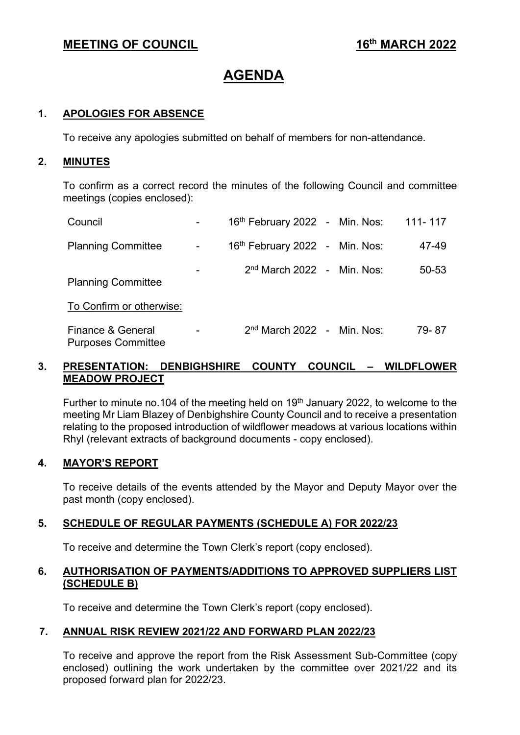# **MEETING OF COUNCIL** 16<sup>th</sup> MARCH 2022

# **AGENDA**

# **1. APOLOGIES FOR ABSENCE**

To receive any apologies submitted on behalf of members for non-attendance.

#### **2. MINUTES**

To confirm as a correct record the minutes of the following Council and committee meetings (copies enclosed):

| Council                                        | 16 <sup>th</sup> February 2022 - Min. Nos: |  | 111-117 |
|------------------------------------------------|--------------------------------------------|--|---------|
| <b>Planning Committee</b>                      | 16 <sup>th</sup> February 2022 - Min. Nos: |  | 47-49   |
| <b>Planning Committee</b>                      | $2nd$ March 2022 - Min. Nos:               |  | 50-53   |
| To Confirm or otherwise:                       |                                            |  |         |
| Finance & General<br><b>Purposes Committee</b> | $2nd$ March 2022 - Min. Nos:               |  | 79-87   |

# **3. PRESENTATION: DENBIGHSHIRE COUNTY COUNCIL – WILDFLOWER MEADOW PROJECT**

Further to minute no.104 of the meeting held on  $19<sup>th</sup>$  January 2022, to welcome to the meeting Mr Liam Blazey of Denbighshire County Council and to receive a presentation relating to the proposed introduction of wildflower meadows at various locations within Rhyl (relevant extracts of background documents - copy enclosed).

# **4. MAYOR'S REPORT**

To receive details of the events attended by the Mayor and Deputy Mayor over the past month (copy enclosed).

# **5. SCHEDULE OF REGULAR PAYMENTS (SCHEDULE A) FOR 2022/23**

To receive and determine the Town Clerk's report (copy enclosed).

#### **6. AUTHORISATION OF PAYMENTS/ADDITIONS TO APPROVED SUPPLIERS LIST (SCHEDULE B)**

To receive and determine the Town Clerk's report (copy enclosed).

# **7. ANNUAL RISK REVIEW 2021/22 AND FORWARD PLAN 2022/23**

To receive and approve the report from the Risk Assessment Sub-Committee (copy enclosed) outlining the work undertaken by the committee over 2021/22 and its proposed forward plan for 2022/23.